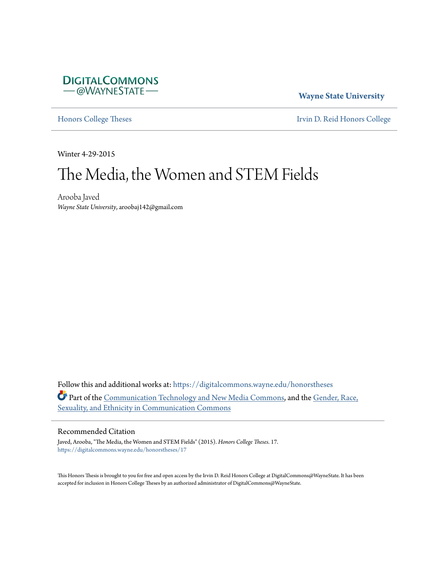

**Wayne State University**

[Honors College Theses](https://digitalcommons.wayne.edu/honorstheses?utm_source=digitalcommons.wayne.edu%2Fhonorstheses%2F17&utm_medium=PDF&utm_campaign=PDFCoverPages) **[Irvin D. Reid Honors College](https://digitalcommons.wayne.edu/honors?utm_source=digitalcommons.wayne.edu%2Fhonorstheses%2F17&utm_medium=PDF&utm_campaign=PDFCoverPages)** 

Winter 4-29-2015

# The Media, the Women and STEM Fields

Arooba Javed *Wayne State University*, aroobaj142@gmail.com

Follow this and additional works at: [https://digitalcommons.wayne.edu/honorstheses](https://digitalcommons.wayne.edu/honorstheses?utm_source=digitalcommons.wayne.edu%2Fhonorstheses%2F17&utm_medium=PDF&utm_campaign=PDFCoverPages) Part of the [Communication Technology and New Media Commons](http://network.bepress.com/hgg/discipline/327?utm_source=digitalcommons.wayne.edu%2Fhonorstheses%2F17&utm_medium=PDF&utm_campaign=PDFCoverPages), and the [Gender, Race,](http://network.bepress.com/hgg/discipline/329?utm_source=digitalcommons.wayne.edu%2Fhonorstheses%2F17&utm_medium=PDF&utm_campaign=PDFCoverPages) [Sexuality, and Ethnicity in Communication Commons](http://network.bepress.com/hgg/discipline/329?utm_source=digitalcommons.wayne.edu%2Fhonorstheses%2F17&utm_medium=PDF&utm_campaign=PDFCoverPages)

## Recommended Citation

Javed, Arooba, "The Media, the Women and STEM Fields" (2015). *Honors College Theses*. 17. [https://digitalcommons.wayne.edu/honorstheses/17](https://digitalcommons.wayne.edu/honorstheses/17?utm_source=digitalcommons.wayne.edu%2Fhonorstheses%2F17&utm_medium=PDF&utm_campaign=PDFCoverPages)

This Honors Thesis is brought to you for free and open access by the Irvin D. Reid Honors College at DigitalCommons@WayneState. It has been accepted for inclusion in Honors College Theses by an authorized administrator of DigitalCommons@WayneState.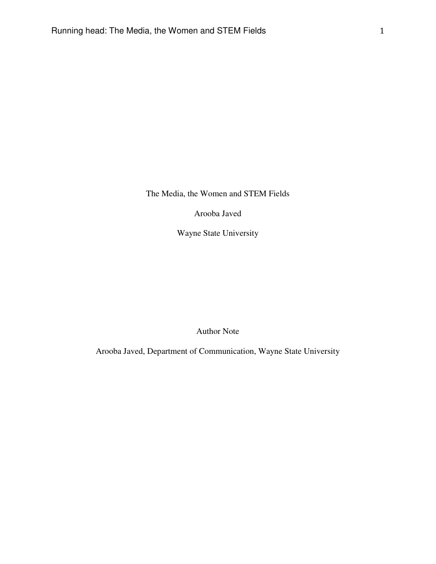The Media, the Women and STEM Fields

Arooba Javed

Wayne State University

Author Note

Arooba Javed, Department of Communication, Wayne State University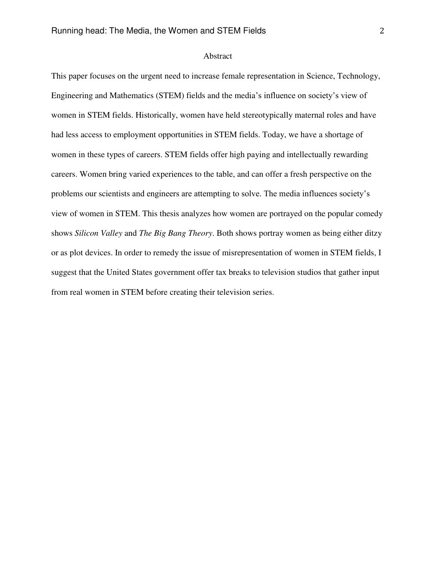## Abstract

This paper focuses on the urgent need to increase female representation in Science, Technology, Engineering and Mathematics (STEM) fields and the media's influence on society's view of women in STEM fields. Historically, women have held stereotypically maternal roles and have had less access to employment opportunities in STEM fields. Today, we have a shortage of women in these types of careers. STEM fields offer high paying and intellectually rewarding careers. Women bring varied experiences to the table, and can offer a fresh perspective on the problems our scientists and engineers are attempting to solve. The media influences society's view of women in STEM. This thesis analyzes how women are portrayed on the popular comedy shows *Silicon Valley* and *The Big Bang Theory*. Both shows portray women as being either ditzy or as plot devices. In order to remedy the issue of misrepresentation of women in STEM fields, I suggest that the United States government offer tax breaks to television studios that gather input from real women in STEM before creating their television series.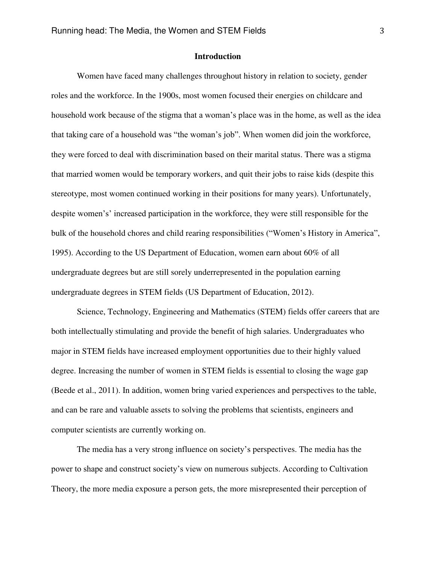## **Introduction**

Women have faced many challenges throughout history in relation to society, gender roles and the workforce. In the 1900s, most women focused their energies on childcare and household work because of the stigma that a woman's place was in the home, as well as the idea that taking care of a household was "the woman's job". When women did join the workforce, they were forced to deal with discrimination based on their marital status. There was a stigma that married women would be temporary workers, and quit their jobs to raise kids (despite this stereotype, most women continued working in their positions for many years). Unfortunately, despite women's' increased participation in the workforce, they were still responsible for the bulk of the household chores and child rearing responsibilities ("Women's History in America", 1995). According to the US Department of Education, women earn about 60% of all undergraduate degrees but are still sorely underrepresented in the population earning undergraduate degrees in STEM fields (US Department of Education, 2012).

Science, Technology, Engineering and Mathematics (STEM) fields offer careers that are both intellectually stimulating and provide the benefit of high salaries. Undergraduates who major in STEM fields have increased employment opportunities due to their highly valued degree. Increasing the number of women in STEM fields is essential to closing the wage gap (Beede et al., 2011). In addition, women bring varied experiences and perspectives to the table, and can be rare and valuable assets to solving the problems that scientists, engineers and computer scientists are currently working on.

The media has a very strong influence on society's perspectives. The media has the power to shape and construct society's view on numerous subjects. According to Cultivation Theory, the more media exposure a person gets, the more misrepresented their perception of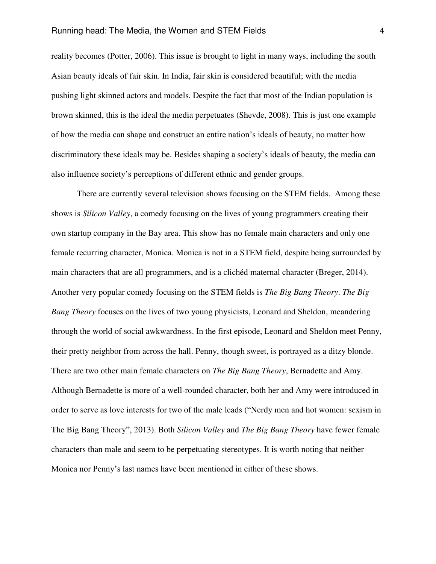reality becomes (Potter, 2006). This issue is brought to light in many ways, including the south Asian beauty ideals of fair skin. In India, fair skin is considered beautiful; with the media pushing light skinned actors and models. Despite the fact that most of the Indian population is brown skinned, this is the ideal the media perpetuates (Shevde, 2008). This is just one example of how the media can shape and construct an entire nation's ideals of beauty, no matter how discriminatory these ideals may be. Besides shaping a society's ideals of beauty, the media can also influence society's perceptions of different ethnic and gender groups.

There are currently several television shows focusing on the STEM fields. Among these shows is *Silicon Valley*, a comedy focusing on the lives of young programmers creating their own startup company in the Bay area. This show has no female main characters and only one female recurring character, Monica. Monica is not in a STEM field, despite being surrounded by main characters that are all programmers, and is a clichéd maternal character (Breger, 2014). Another very popular comedy focusing on the STEM fields is *The Big Bang Theory*. *The Big Bang Theory* focuses on the lives of two young physicists, Leonard and Sheldon, meandering through the world of social awkwardness. In the first episode, Leonard and Sheldon meet Penny, their pretty neighbor from across the hall. Penny, though sweet, is portrayed as a ditzy blonde. There are two other main female characters on *The Big Bang Theory*, Bernadette and Amy. Although Bernadette is more of a well-rounded character, both her and Amy were introduced in order to serve as love interests for two of the male leads ("Nerdy men and hot women: sexism in The Big Bang Theory", 2013). Both *Silicon Valley* and *The Big Bang Theory* have fewer female characters than male and seem to be perpetuating stereotypes. It is worth noting that neither Monica nor Penny's last names have been mentioned in either of these shows.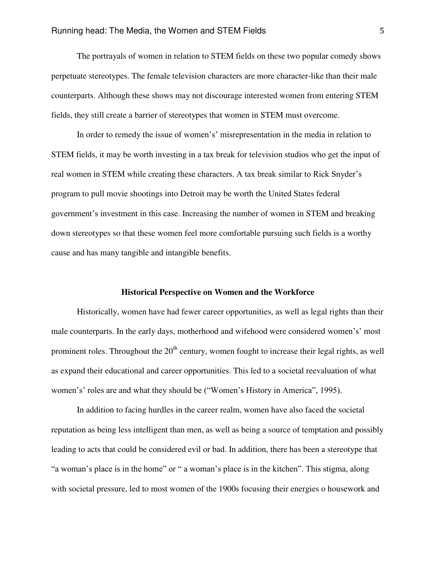The portrayals of women in relation to STEM fields on these two popular comedy shows perpetuate stereotypes. The female television characters are more character-like than their male counterparts. Although these shows may not discourage interested women from entering STEM fields, they still create a barrier of stereotypes that women in STEM must overcome.

In order to remedy the issue of women's' misrepresentation in the media in relation to STEM fields, it may be worth investing in a tax break for television studios who get the input of real women in STEM while creating these characters. A tax break similar to Rick Snyder's program to pull movie shootings into Detroit may be worth the United States federal government's investment in this case. Increasing the number of women in STEM and breaking down stereotypes so that these women feel more comfortable pursuing such fields is a worthy cause and has many tangible and intangible benefits.

#### **Historical Perspective on Women and the Workforce**

 Historically, women have had fewer career opportunities, as well as legal rights than their male counterparts. In the early days, motherhood and wifehood were considered women's' most prominent roles. Throughout the  $20<sup>th</sup>$  century, women fought to increase their legal rights, as well as expand their educational and career opportunities. This led to a societal reevaluation of what women's' roles are and what they should be ("Women's History in America", 1995).

 In addition to facing hurdles in the career realm, women have also faced the societal reputation as being less intelligent than men, as well as being a source of temptation and possibly leading to acts that could be considered evil or bad. In addition, there has been a stereotype that "a woman's place is in the home" or " a woman's place is in the kitchen". This stigma, along with societal pressure, led to most women of the 1900s focusing their energies o housework and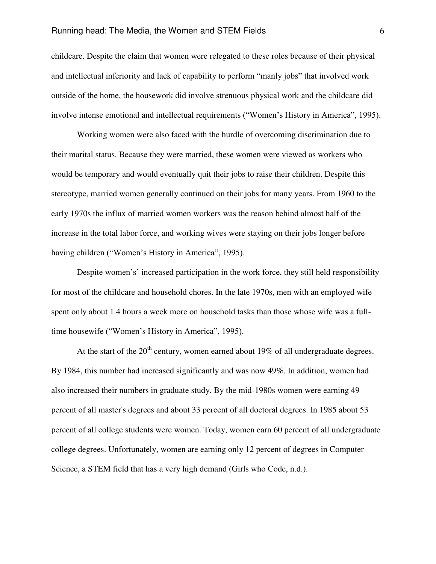childcare. Despite the claim that women were relegated to these roles because of their physical and intellectual inferiority and lack of capability to perform "manly jobs" that involved work outside of the home, the housework did involve strenuous physical work and the childcare did involve intense emotional and intellectual requirements ("Women's History in America", 1995).

Working women were also faced with the hurdle of overcoming discrimination due to their marital status. Because they were married, these women were viewed as workers who would be temporary and would eventually quit their jobs to raise their children. Despite this stereotype, married women generally continued on their jobs for many years. From 1960 to the early 1970s the influx of married women workers was the reason behind almost half of the increase in the total labor force, and working wives were staying on their jobs longer before having children ("Women's History in America", 1995).

 Despite women's' increased participation in the work force, they still held responsibility for most of the childcare and household chores. In the late 1970s, men with an employed wife spent only about 1.4 hours a week more on household tasks than those whose wife was a fulltime housewife ("Women's History in America", 1995).

At the start of the  $20<sup>th</sup>$  century, women earned about 19% of all undergraduate degrees. By 1984, this number had increased significantly and was now 49%. In addition, women had also increased their numbers in graduate study. By the mid-1980s women were earning 49 percent of all master's degrees and about 33 percent of all doctoral degrees. In 1985 about 53 percent of all college students were women. Today, women earn 60 percent of all undergraduate college degrees. Unfortunately, women are earning only 12 percent of degrees in Computer Science, a STEM field that has a very high demand (Girls who Code, n.d.).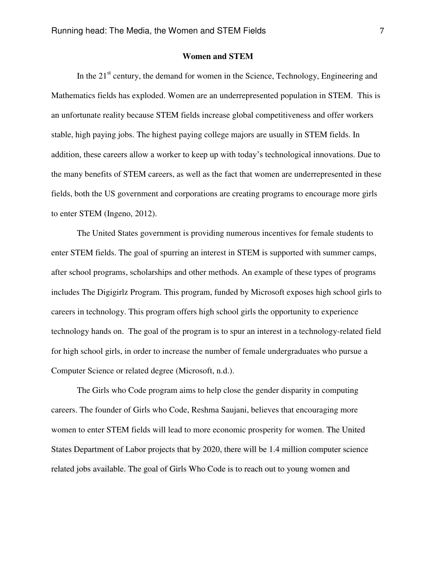## **Women and STEM**

In the  $21<sup>st</sup>$  century, the demand for women in the Science, Technology, Engineering and Mathematics fields has exploded. Women are an underrepresented population in STEM. This is an unfortunate reality because STEM fields increase global competitiveness and offer workers stable, high paying jobs. The highest paying college majors are usually in STEM fields. In addition, these careers allow a worker to keep up with today's technological innovations. Due to the many benefits of STEM careers, as well as the fact that women are underrepresented in these fields, both the US government and corporations are creating programs to encourage more girls to enter STEM (Ingeno, 2012).

The United States government is providing numerous incentives for female students to enter STEM fields. The goal of spurring an interest in STEM is supported with summer camps, after school programs, scholarships and other methods. An example of these types of programs includes The Digigirlz Program. This program, funded by Microsoft exposes high school girls to careers in technology. This program offers high school girls the opportunity to experience technology hands on. The goal of the program is to spur an interest in a technology-related field for high school girls, in order to increase the number of female undergraduates who pursue a Computer Science or related degree (Microsoft, n.d.).

 The Girls who Code program aims to help close the gender disparity in computing careers. The founder of Girls who Code, Reshma Saujani, believes that encouraging more women to enter STEM fields will lead to more economic prosperity for women. The United States Department of Labor projects that by 2020, there will be 1.4 million computer science related jobs available. The goal of Girls Who Code is to reach out to young women and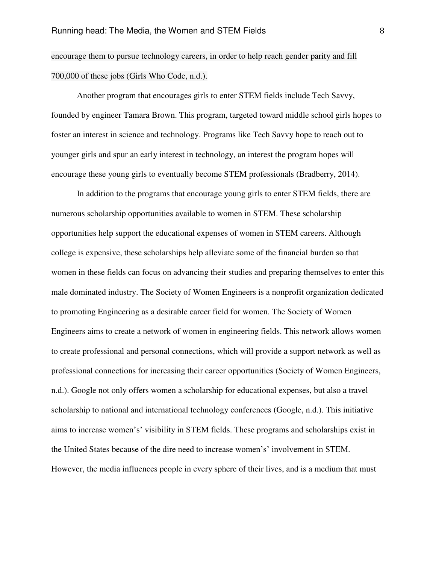encourage them to pursue technology careers, in order to help reach gender parity and fill 700,000 of these jobs (Girls Who Code, n.d.).

Another program that encourages girls to enter STEM fields include Tech Savvy, founded by engineer Tamara Brown. This program, targeted toward middle school girls hopes to foster an interest in science and technology. Programs like Tech Savvy hope to reach out to younger girls and spur an early interest in technology, an interest the program hopes will encourage these young girls to eventually become STEM professionals (Bradberry, 2014).

In addition to the programs that encourage young girls to enter STEM fields, there are numerous scholarship opportunities available to women in STEM. These scholarship opportunities help support the educational expenses of women in STEM careers. Although college is expensive, these scholarships help alleviate some of the financial burden so that women in these fields can focus on advancing their studies and preparing themselves to enter this male dominated industry. The Society of Women Engineers is a nonprofit organization dedicated to promoting Engineering as a desirable career field for women. The Society of Women Engineers aims to create a network of women in engineering fields. This network allows women to create professional and personal connections, which will provide a support network as well as professional connections for increasing their career opportunities (Society of Women Engineers, n.d.). Google not only offers women a scholarship for educational expenses, but also a travel scholarship to national and international technology conferences (Google, n.d.). This initiative aims to increase women's' visibility in STEM fields. These programs and scholarships exist in the United States because of the dire need to increase women's' involvement in STEM. However, the media influences people in every sphere of their lives, and is a medium that must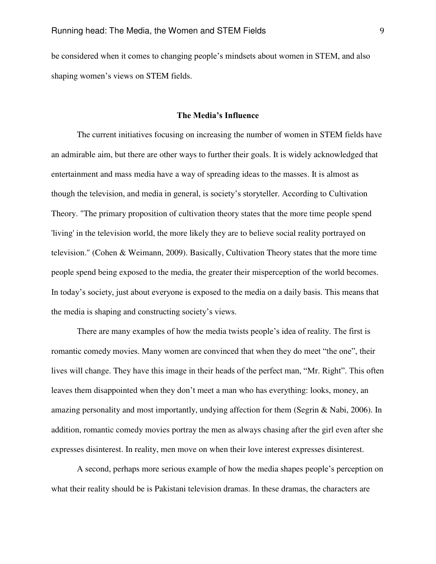be considered when it comes to changing people's mindsets about women in STEM, and also shaping women's views on STEM fields.

#### **The Media's Influence**

The current initiatives focusing on increasing the number of women in STEM fields have an admirable aim, but there are other ways to further their goals. It is widely acknowledged that entertainment and mass media have a way of spreading ideas to the masses. It is almost as though the television, and media in general, is society's storyteller. According to Cultivation Theory. "The primary proposition of cultivation theory states that the more time people spend 'living' in the television world, the more likely they are to believe social reality portrayed on television." (Cohen & Weimann, 2009). Basically, Cultivation Theory states that the more time people spend being exposed to the media, the greater their misperception of the world becomes. In today's society, just about everyone is exposed to the media on a daily basis. This means that the media is shaping and constructing society's views.

There are many examples of how the media twists people's idea of reality. The first is romantic comedy movies. Many women are convinced that when they do meet "the one", their lives will change. They have this image in their heads of the perfect man, "Mr. Right". This often leaves them disappointed when they don't meet a man who has everything: looks, money, an amazing personality and most importantly, undying affection for them (Segrin & Nabi, 2006). In addition, romantic comedy movies portray the men as always chasing after the girl even after she expresses disinterest. In reality, men move on when their love interest expresses disinterest.

A second, perhaps more serious example of how the media shapes people's perception on what their reality should be is Pakistani television dramas. In these dramas, the characters are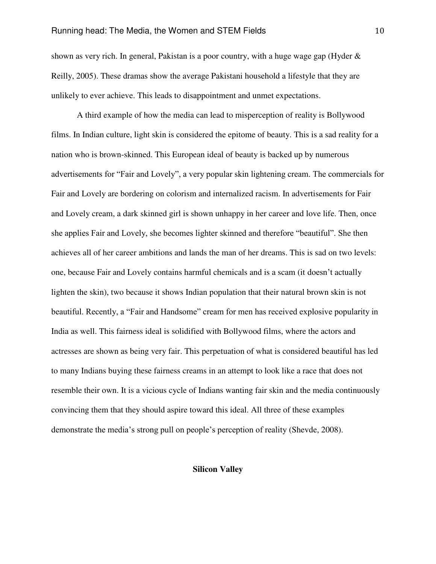shown as very rich. In general, Pakistan is a poor country, with a huge wage gap (Hyder  $\&$ Reilly, 2005). These dramas show the average Pakistani household a lifestyle that they are unlikely to ever achieve. This leads to disappointment and unmet expectations.

A third example of how the media can lead to misperception of reality is Bollywood films. In Indian culture, light skin is considered the epitome of beauty. This is a sad reality for a nation who is brown-skinned. This European ideal of beauty is backed up by numerous advertisements for "Fair and Lovely", a very popular skin lightening cream. The commercials for Fair and Lovely are bordering on colorism and internalized racism. In advertisements for Fair and Lovely cream, a dark skinned girl is shown unhappy in her career and love life. Then, once she applies Fair and Lovely, she becomes lighter skinned and therefore "beautiful". She then achieves all of her career ambitions and lands the man of her dreams. This is sad on two levels: one, because Fair and Lovely contains harmful chemicals and is a scam (it doesn't actually lighten the skin), two because it shows Indian population that their natural brown skin is not beautiful. Recently, a "Fair and Handsome" cream for men has received explosive popularity in India as well. This fairness ideal is solidified with Bollywood films, where the actors and actresses are shown as being very fair. This perpetuation of what is considered beautiful has led to many Indians buying these fairness creams in an attempt to look like a race that does not resemble their own. It is a vicious cycle of Indians wanting fair skin and the media continuously convincing them that they should aspire toward this ideal. All three of these examples demonstrate the media's strong pull on people's perception of reality (Shevde, 2008).

## **Silicon Valley**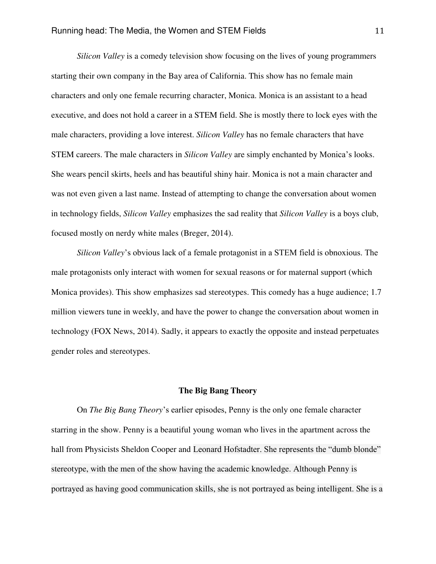*Silicon Valley* is a comedy television show focusing on the lives of young programmers starting their own company in the Bay area of California. This show has no female main characters and only one female recurring character, Monica. Monica is an assistant to a head executive, and does not hold a career in a STEM field. She is mostly there to lock eyes with the male characters, providing a love interest. *Silicon Valley* has no female characters that have STEM careers. The male characters in *Silicon Valley* are simply enchanted by Monica's looks. She wears pencil skirts, heels and has beautiful shiny hair. Monica is not a main character and was not even given a last name. Instead of attempting to change the conversation about women in technology fields, *Silicon Valley* emphasizes the sad reality that *Silicon Valley* is a boys club, focused mostly on nerdy white males (Breger, 2014).

*Silicon Valley*'s obvious lack of a female protagonist in a STEM field is obnoxious. The male protagonists only interact with women for sexual reasons or for maternal support (which Monica provides). This show emphasizes sad stereotypes. This comedy has a huge audience; 1.7 million viewers tune in weekly, and have the power to change the conversation about women in technology (FOX News, 2014). Sadly, it appears to exactly the opposite and instead perpetuates gender roles and stereotypes.

#### **The Big Bang Theory**

On *The Big Bang Theory*'s earlier episodes, Penny is the only one female character starring in the show. Penny is a beautiful young woman who lives in the apartment across the hall from Physicists Sheldon Cooper and Leonard Hofstadter. She represents the "dumb blonde" stereotype, with the men of the show having the academic knowledge. Although Penny is portrayed as having good communication skills, she is not portrayed as being intelligent. She is a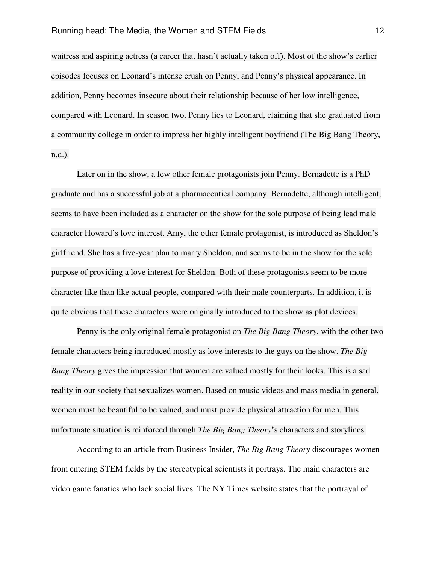waitress and aspiring actress (a career that hasn't actually taken off). Most of the show's earlier episodes focuses on Leonard's intense crush on Penny, and Penny's physical appearance. In addition, Penny becomes insecure about their relationship because of her low intelligence, compared with Leonard. In season two, Penny lies to Leonard, claiming that she graduated from a community college in order to impress her highly intelligent boyfriend (The Big Bang Theory, n.d.).

Later on in the show, a few other female protagonists join Penny. Bernadette is a PhD graduate and has a successful job at a pharmaceutical company. Bernadette, although intelligent, seems to have been included as a character on the show for the sole purpose of being lead male character Howard's love interest. Amy, the other female protagonist, is introduced as Sheldon's girlfriend. She has a five-year plan to marry Sheldon, and seems to be in the show for the sole purpose of providing a love interest for Sheldon. Both of these protagonists seem to be more character like than like actual people, compared with their male counterparts. In addition, it is quite obvious that these characters were originally introduced to the show as plot devices.

Penny is the only original female protagonist on *The Big Bang Theory*, with the other two female characters being introduced mostly as love interests to the guys on the show. *The Big Bang Theory* gives the impression that women are valued mostly for their looks. This is a sad reality in our society that sexualizes women. Based on music videos and mass media in general, women must be beautiful to be valued, and must provide physical attraction for men. This unfortunate situation is reinforced through *The Big Bang Theory*'s characters and storylines.

According to an article from Business Insider, *The Big Bang Theory* discourages women from entering STEM fields by the stereotypical scientists it portrays. The main characters are video game fanatics who lack social lives. The NY Times website states that the portrayal of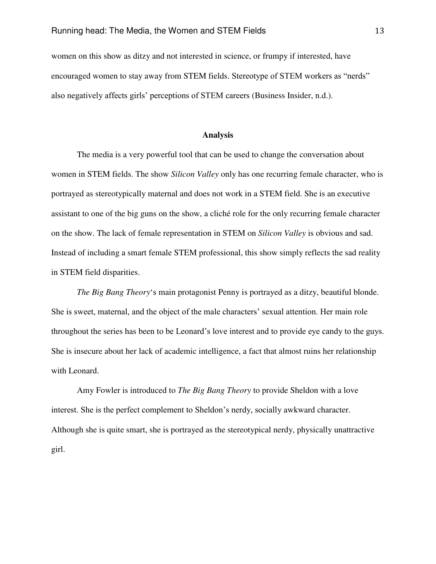women on this show as ditzy and not interested in science, or frumpy if interested, have encouraged women to stay away from STEM fields. Stereotype of STEM workers as "nerds" also negatively affects girls' perceptions of STEM careers (Business Insider, n.d.).

#### **Analysis**

The media is a very powerful tool that can be used to change the conversation about women in STEM fields. The show *Silicon Valley* only has one recurring female character, who is portrayed as stereotypically maternal and does not work in a STEM field. She is an executive assistant to one of the big guns on the show, a cliché role for the only recurring female character on the show. The lack of female representation in STEM on *Silicon Valley* is obvious and sad. Instead of including a smart female STEM professional, this show simply reflects the sad reality in STEM field disparities.

*The Big Bang Theory*'s main protagonist Penny is portrayed as a ditzy, beautiful blonde. She is sweet, maternal, and the object of the male characters' sexual attention. Her main role throughout the series has been to be Leonard's love interest and to provide eye candy to the guys. She is insecure about her lack of academic intelligence, a fact that almost ruins her relationship with Leonard.

Amy Fowler is introduced to *The Big Bang Theory* to provide Sheldon with a love interest. She is the perfect complement to Sheldon's nerdy, socially awkward character. Although she is quite smart, she is portrayed as the stereotypical nerdy, physically unattractive girl.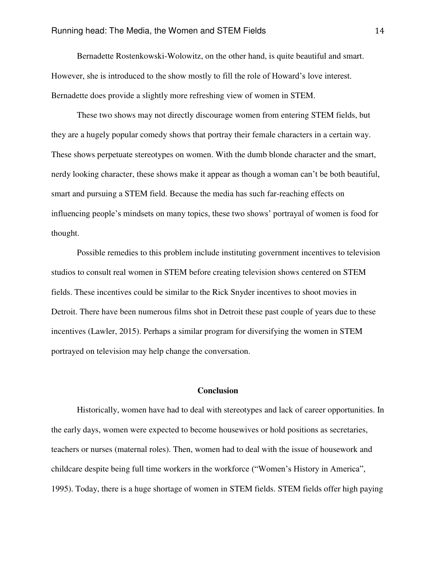Bernadette Rostenkowski-Wolowitz, on the other hand, is quite beautiful and smart. However, she is introduced to the show mostly to fill the role of Howard's love interest. Bernadette does provide a slightly more refreshing view of women in STEM.

These two shows may not directly discourage women from entering STEM fields, but they are a hugely popular comedy shows that portray their female characters in a certain way. These shows perpetuate stereotypes on women. With the dumb blonde character and the smart, nerdy looking character, these shows make it appear as though a woman can't be both beautiful, smart and pursuing a STEM field. Because the media has such far-reaching effects on influencing people's mindsets on many topics, these two shows' portrayal of women is food for thought.

Possible remedies to this problem include instituting government incentives to television studios to consult real women in STEM before creating television shows centered on STEM fields. These incentives could be similar to the Rick Snyder incentives to shoot movies in Detroit. There have been numerous films shot in Detroit these past couple of years due to these incentives (Lawler, 2015). Perhaps a similar program for diversifying the women in STEM portrayed on television may help change the conversation.

### **Conclusion**

 Historically, women have had to deal with stereotypes and lack of career opportunities. In the early days, women were expected to become housewives or hold positions as secretaries, teachers or nurses (maternal roles). Then, women had to deal with the issue of housework and childcare despite being full time workers in the workforce ("Women's History in America", 1995). Today, there is a huge shortage of women in STEM fields. STEM fields offer high paying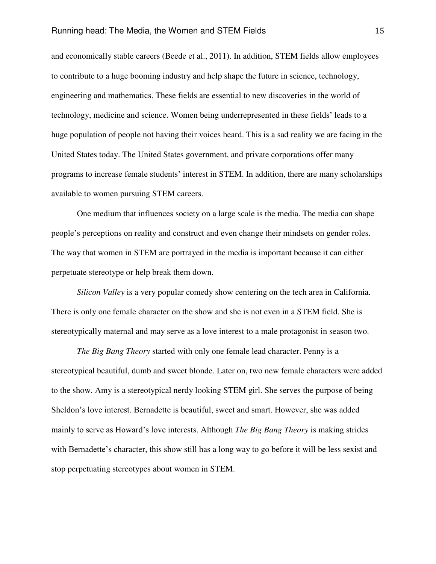and economically stable careers (Beede et al., 2011). In addition, STEM fields allow employees to contribute to a huge booming industry and help shape the future in science, technology, engineering and mathematics. These fields are essential to new discoveries in the world of technology, medicine and science. Women being underrepresented in these fields' leads to a huge population of people not having their voices heard. This is a sad reality we are facing in the United States today. The United States government, and private corporations offer many programs to increase female students' interest in STEM. In addition, there are many scholarships available to women pursuing STEM careers.

 One medium that influences society on a large scale is the media. The media can shape people's perceptions on reality and construct and even change their mindsets on gender roles. The way that women in STEM are portrayed in the media is important because it can either perpetuate stereotype or help break them down.

*Silicon Valley* is a very popular comedy show centering on the tech area in California. There is only one female character on the show and she is not even in a STEM field. She is stereotypically maternal and may serve as a love interest to a male protagonist in season two.

*The Big Bang Theory* started with only one female lead character. Penny is a stereotypical beautiful, dumb and sweet blonde. Later on, two new female characters were added to the show. Amy is a stereotypical nerdy looking STEM girl. She serves the purpose of being Sheldon's love interest. Bernadette is beautiful, sweet and smart. However, she was added mainly to serve as Howard's love interests. Although *The Big Bang Theory* is making strides with Bernadette's character, this show still has a long way to go before it will be less sexist and stop perpetuating stereotypes about women in STEM.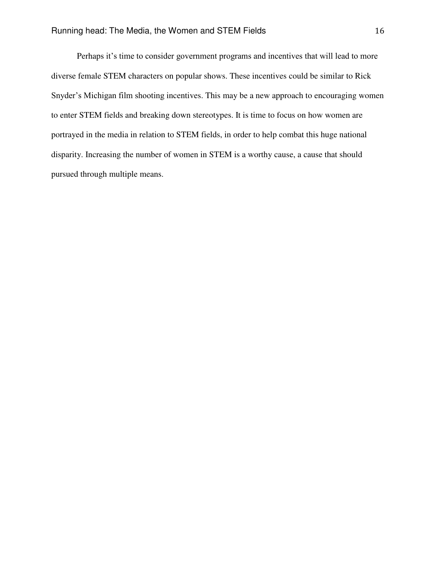Perhaps it's time to consider government programs and incentives that will lead to more diverse female STEM characters on popular shows. These incentives could be similar to Rick Snyder's Michigan film shooting incentives. This may be a new approach to encouraging women to enter STEM fields and breaking down stereotypes. It is time to focus on how women are portrayed in the media in relation to STEM fields, in order to help combat this huge national disparity. Increasing the number of women in STEM is a worthy cause, a cause that should pursued through multiple means.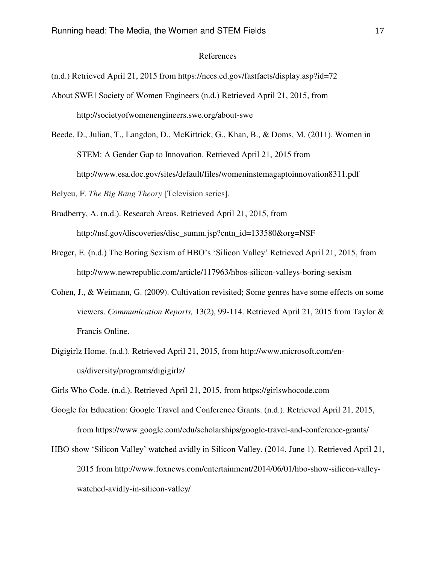#### References

(n.d.) Retrieved April 21, 2015 from https://nces.ed.gov/fastfacts/display.asp?id=72

- About SWE | Society of Women Engineers (n.d.) Retrieved April 21, 2015, from http://societyofwomenengineers.swe.org/about-swe
- Beede, D., Julian, T., Langdon, D., McKittrick, G., Khan, B., & Doms, M. (2011). Women in STEM: A Gender Gap to Innovation. Retrieved April 21, 2015 from http://www.esa.doc.gov/sites/default/files/womeninstemagaptoinnovation8311.pdf

Belyeu, F. *The Big Bang Theory* [Television series].

- Bradberry, A. (n.d.). Research Areas. Retrieved April 21, 2015, from http://nsf.gov/discoveries/disc\_summ.jsp?cntn\_id=133580&org=NSF
- Breger, E. (n.d.) The Boring Sexism of HBO's 'Silicon Valley' Retrieved April 21, 2015, from http://www.newrepublic.com/article/117963/hbos-silicon-valleys-boring-sexism
- Cohen, J., & Weimann, G. (2009). Cultivation revisited; Some genres have some effects on some viewers. *Communication Reports,* 13(2), 99-114. Retrieved April 21, 2015 from Taylor & Francis Online.
- Digigirlz Home. (n.d.). Retrieved April 21, 2015, from http://www.microsoft.com/enus/diversity/programs/digigirlz/

Girls Who Code. (n.d.). Retrieved April 21, 2015, from https://girlswhocode.com

- Google for Education: Google Travel and Conference Grants. (n.d.). Retrieved April 21, 2015, from https://www.google.com/edu/scholarships/google-travel-and-conference-grants/
- HBO show 'Silicon Valley' watched avidly in Silicon Valley. (2014, June 1). Retrieved April 21, 2015 from http://www.foxnews.com/entertainment/2014/06/01/hbo-show-silicon-valleywatched-avidly-in-silicon-valley/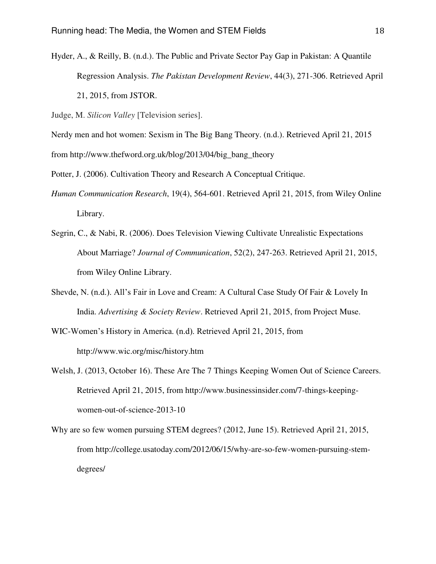Hyder, A., & Reilly, B. (n.d.). The Public and Private Sector Pay Gap in Pakistan: A Quantile Regression Analysis. *The Pakistan Development Review*, 44(3), 271-306. Retrieved April 21, 2015, from JSTOR.

Judge, M. *Silicon Valley* [Television series].

Nerdy men and hot women: Sexism in The Big Bang Theory. (n.d.). Retrieved April 21, 2015

from http://www.thefword.org.uk/blog/2013/04/big\_bang\_theory

Potter, J. (2006). Cultivation Theory and Research A Conceptual Critique.

- *Human Communication Research*, 19(4), 564-601. Retrieved April 21, 2015, from Wiley Online Library.
- Segrin, C., & Nabi, R. (2006). Does Television Viewing Cultivate Unrealistic Expectations About Marriage? *Journal of Communication*, 52(2), 247-263. Retrieved April 21, 2015, from Wiley Online Library.
- Shevde, N. (n.d.). All's Fair in Love and Cream: A Cultural Case Study Of Fair & Lovely In India. *Advertising & Society Review*. Retrieved April 21, 2015, from Project Muse.
- WIC-Women's History in America. (n.d). Retrieved April 21, 2015, from http://www.wic.org/misc/history.htm
- Welsh, J. (2013, October 16). These Are The 7 Things Keeping Women Out of Science Careers. Retrieved April 21, 2015, from http://www.businessinsider.com/7-things-keepingwomen-out-of-science-2013-10
- Why are so few women pursuing STEM degrees? (2012, June 15). Retrieved April 21, 2015, from http://college.usatoday.com/2012/06/15/why-are-so-few-women-pursuing-stemdegrees/